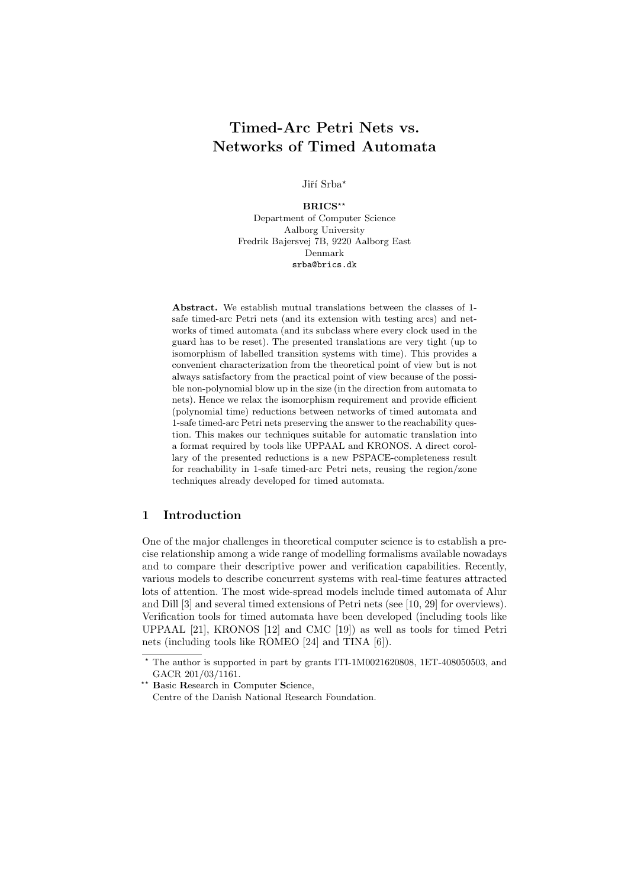# Timed-Arc Petri Nets vs. Networks of Timed Automata

Jiří Srba\*

BRICS\*\* Department of Computer Science Aalborg University Fredrik Bajersvej 7B, 9220 Aalborg East Denmark srba@brics.dk

Abstract. We establish mutual translations between the classes of 1 safe timed-arc Petri nets (and its extension with testing arcs) and networks of timed automata (and its subclass where every clock used in the guard has to be reset). The presented translations are very tight (up to isomorphism of labelled transition systems with time). This provides a convenient characterization from the theoretical point of view but is not always satisfactory from the practical point of view because of the possible non-polynomial blow up in the size (in the direction from automata to nets). Hence we relax the isomorphism requirement and provide efficient (polynomial time) reductions between networks of timed automata and 1-safe timed-arc Petri nets preserving the answer to the reachability question. This makes our techniques suitable for automatic translation into a format required by tools like UPPAAL and KRONOS. A direct corollary of the presented reductions is a new PSPACE-completeness result for reachability in 1-safe timed-arc Petri nets, reusing the region/zone techniques already developed for timed automata.

## 1 Introduction

One of the major challenges in theoretical computer science is to establish a precise relationship among a wide range of modelling formalisms available nowadays and to compare their descriptive power and verification capabilities. Recently, various models to describe concurrent systems with real-time features attracted lots of attention. The most wide-spread models include timed automata of Alur and Dill [3] and several timed extensions of Petri nets (see [10, 29] for overviews). Verification tools for timed automata have been developed (including tools like UPPAAL [21], KRONOS [12] and CMC [19]) as well as tools for timed Petri nets (including tools like ROMEO [24] and TINA [6]).

<sup>?</sup> The author is supported in part by grants ITI-1M0021620808, 1ET-408050503, and GACR 201/03/1161.

<sup>\*\*</sup> Basic Research in Computer Science, Centre of the Danish National Research Foundation.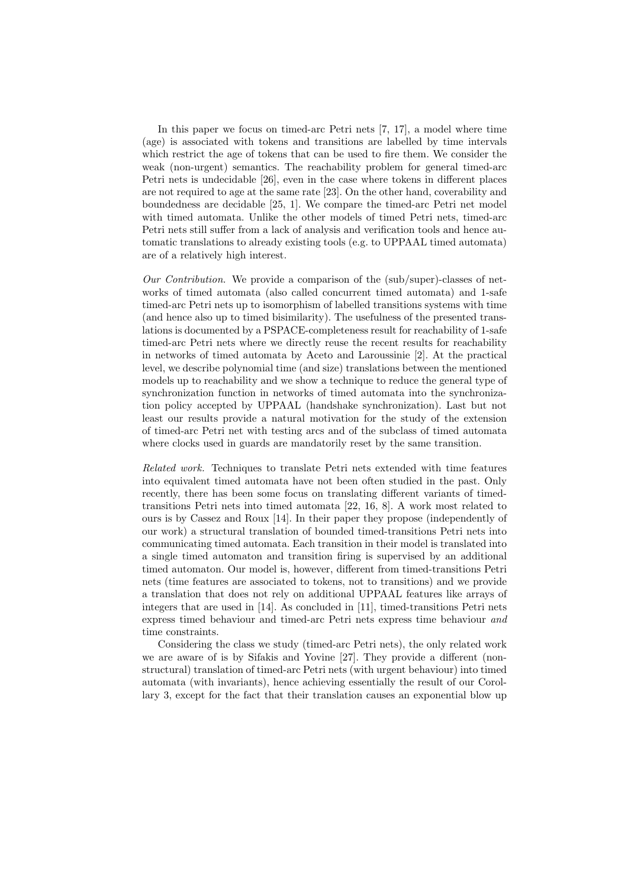In this paper we focus on timed-arc Petri nets [7, 17], a model where time (age) is associated with tokens and transitions are labelled by time intervals which restrict the age of tokens that can be used to fire them. We consider the weak (non-urgent) semantics. The reachability problem for general timed-arc Petri nets is undecidable [26], even in the case where tokens in different places are not required to age at the same rate [23]. On the other hand, coverability and boundedness are decidable [25, 1]. We compare the timed-arc Petri net model with timed automata. Unlike the other models of timed Petri nets, timed-arc Petri nets still suffer from a lack of analysis and verification tools and hence automatic translations to already existing tools (e.g. to UPPAAL timed automata) are of a relatively high interest.

Our Contribution. We provide a comparison of the (sub/super)-classes of networks of timed automata (also called concurrent timed automata) and 1-safe timed-arc Petri nets up to isomorphism of labelled transitions systems with time (and hence also up to timed bisimilarity). The usefulness of the presented translations is documented by a PSPACE-completeness result for reachability of 1-safe timed-arc Petri nets where we directly reuse the recent results for reachability in networks of timed automata by Aceto and Laroussinie [2]. At the practical level, we describe polynomial time (and size) translations between the mentioned models up to reachability and we show a technique to reduce the general type of synchronization function in networks of timed automata into the synchronization policy accepted by UPPAAL (handshake synchronization). Last but not least our results provide a natural motivation for the study of the extension of timed-arc Petri net with testing arcs and of the subclass of timed automata where clocks used in guards are mandatorily reset by the same transition.

Related work. Techniques to translate Petri nets extended with time features into equivalent timed automata have not been often studied in the past. Only recently, there has been some focus on translating different variants of timedtransitions Petri nets into timed automata [22, 16, 8]. A work most related to ours is by Cassez and Roux [14]. In their paper they propose (independently of our work) a structural translation of bounded timed-transitions Petri nets into communicating timed automata. Each transition in their model is translated into a single timed automaton and transition firing is supervised by an additional timed automaton. Our model is, however, different from timed-transitions Petri nets (time features are associated to tokens, not to transitions) and we provide a translation that does not rely on additional UPPAAL features like arrays of integers that are used in [14]. As concluded in [11], timed-transitions Petri nets express timed behaviour and timed-arc Petri nets express time behaviour and time constraints.

Considering the class we study (timed-arc Petri nets), the only related work we are aware of is by Sifakis and Yovine [27]. They provide a different (nonstructural) translation of timed-arc Petri nets (with urgent behaviour) into timed automata (with invariants), hence achieving essentially the result of our Corollary 3, except for the fact that their translation causes an exponential blow up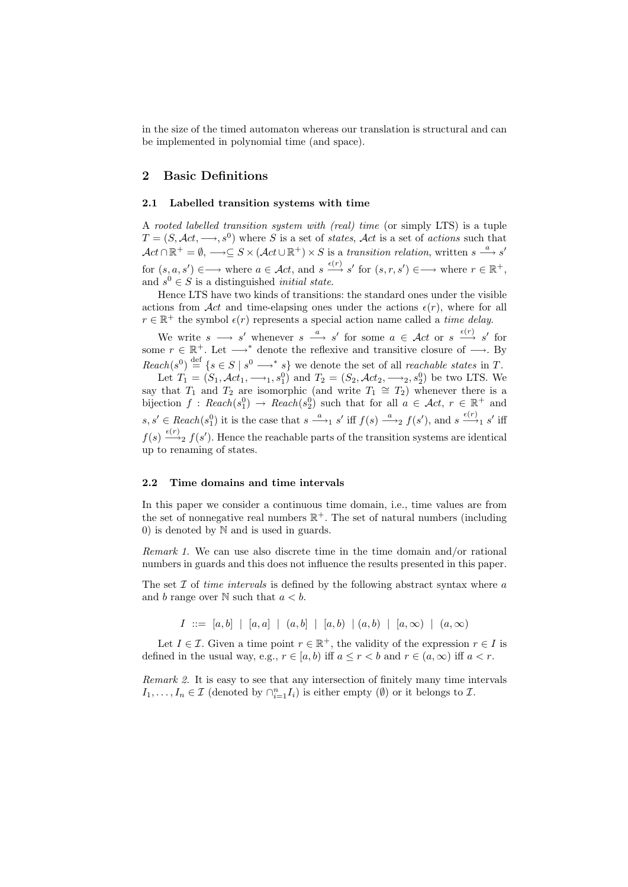in the size of the timed automaton whereas our translation is structural and can be implemented in polynomial time (and space).

## 2 Basic Definitions

#### 2.1 Labelled transition systems with time

A rooted labelled transition system with (real) time (or simply LTS) is a tuple  $T = (S, \mathcal{A}ct, \longrightarrow, s^0)$  where S is a set of states,  $\mathcal{A}ct$  is a set of actions such that  $\mathcal{A}ct \cap \mathbb{R}^+ = \emptyset$ ,  $\longrightarrow \subseteq S \times (\mathcal{A}ct \cup \mathbb{R}^+) \times S$  is a transition relation, written  $s \stackrel{a}{\longrightarrow} s'$ for  $(s, a, s') \in \longrightarrow$  where  $a \in \mathcal{A}ct$ , and  $s \stackrel{\epsilon(r)}{\longrightarrow} s'$  for  $(s, r, s') \in \longrightarrow$  where  $r \in \mathbb{R}^+$ , and  $s^0 \in S$  is a distinguished *initial state*.

Hence LTS have two kinds of transitions: the standard ones under the visible actions from Act and time-elapsing ones under the actions  $\epsilon(r)$ , where for all  $r \in \mathbb{R}^+$  the symbol  $\epsilon(r)$  represents a special action name called a time delay.

We write  $s \longrightarrow s'$  whenever  $s \stackrel{a}{\longrightarrow} s'$  for some  $a \in \mathcal{A}ct$  or  $s \stackrel{\epsilon(r)}{\longrightarrow} s'$  for some  $r \in \mathbb{R}^+$ . Let  $\longrightarrow^*$  denote the reflexive and transitive closure of  $\longrightarrow$ . By  $Reach(s^0) \stackrel{\text{def}}{=} \{s \in S \mid s^0 \longrightarrow^* s\}$  we denote the set of all *reachable states* in T.

Let  $T_1 = (S_1, \mathcal{A}ct_1, \longrightarrow_1, s_1^0)$  and  $T_2 = (S_2, \mathcal{A}ct_2, \longrightarrow_2, s_2^0)$  be two LTS. We say that  $T_1$  and  $T_2$  are isomorphic (and write  $T_1 \cong T_2$ ) whenever there is a bijection  $f : Reach(s_1^0) \to Reach(s_2^0)$  such that for all  $a \in \mathcal{A}ct$ ,  $r \in \mathbb{R}^+$  and  $s, s' \in \text{Reach}(s_1^0)$  it is the case that  $s \xrightarrow{a}_{1} s'$  iff  $f(s) \xrightarrow{a}_{2} f(s')$ , and  $s \xrightarrow{\epsilon(r)} s'$  iff  $f(s) \xrightarrow{\epsilon(r)} f(s')$ . Hence the reachable parts of the transition systems are identical up to renaming of states.

#### 2.2 Time domains and time intervals

In this paper we consider a continuous time domain, i.e., time values are from the set of nonnegative real numbers  $\mathbb{R}^+$ . The set of natural numbers (including 0) is denoted by N and is used in guards.

Remark 1. We can use also discrete time in the time domain and/or rational numbers in guards and this does not influence the results presented in this paper.

The set  $\mathcal I$  of *time intervals* is defined by the following abstract syntax where  $a$ and b range over  $N$  such that  $a < b$ .

 $I := [a, b] | [a, a] | (a, b] | [a, b] | (a, b) | (a, \infty) | (a, \infty)$ 

Let  $I \in \mathcal{I}$ . Given a time point  $r \in \mathbb{R}^+$ , the validity of the expression  $r \in I$  is defined in the usual way, e.g.,  $r \in [a, b)$  iff  $a \leq r < b$  and  $r \in (a, \infty)$  iff  $a < r$ .

Remark 2. It is easy to see that any intersection of finitely many time intervals  $I_1, \ldots, I_n \in \mathcal{I}$  (denoted by  $\bigcap_{i=1}^n I_i$ ) is either empty (Ø) or it belongs to  $\mathcal{I}$ .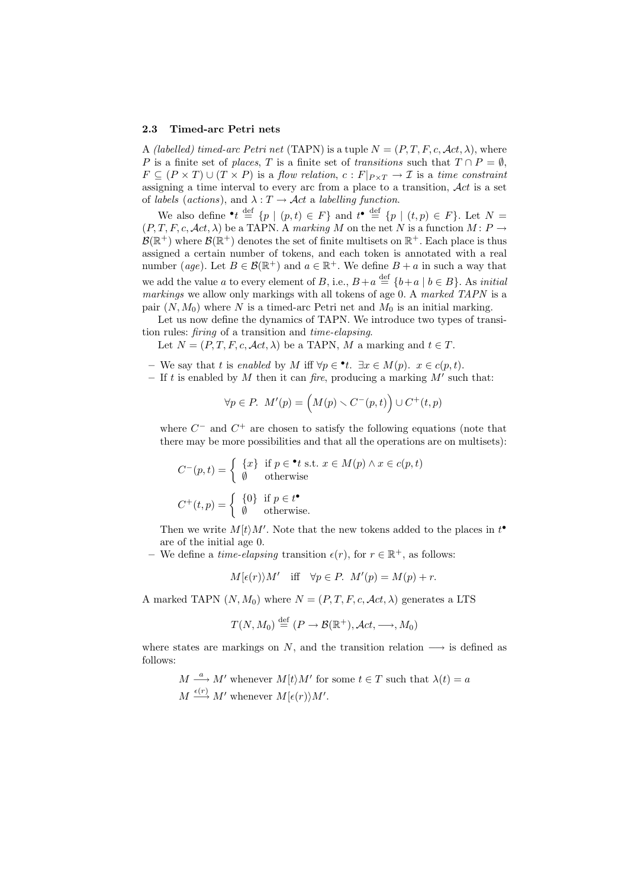#### 2.3 Timed-arc Petri nets

A (labelled) timed-arc Petri net (TAPN) is a tuple  $N = (P, T, F, c, \mathcal{A}ct, \lambda)$ , where P is a finite set of places, T is a finite set of transitions such that  $T \cap P = \emptyset$ ,  $F \subseteq (P \times T) \cup (T \times P)$  is a flow relation,  $c : F|_{P \times T} \to T$  is a time constraint assigning a time interval to every arc from a place to a transition,  $\mathcal{A}ct$  is a set of labels (actions), and  $\lambda : T \to \mathcal{A}ct$  a labelling function.

We also define  $\bullet t \stackrel{\text{def}}{=} \{p \mid (p,t) \in F\}$  and  $t^{\bullet} \stackrel{\text{def}}{=} \{p \mid (t,p) \in F\}$ . Let  $N =$  $(P, T, F, c, \mathcal{A}ct, \lambda)$  be a TAPN. A marking M on the net N is a function  $M : P \to$  $\mathcal{B}(\mathbb{R}^+)$  where  $\mathcal{B}(\mathbb{R}^+)$  denotes the set of finite multisets on  $\mathbb{R}^+$ . Each place is thus assigned a certain number of tokens, and each token is annotated with a real number (age). Let  $B \in \mathcal{B}(\mathbb{R}^+)$  and  $a \in \mathbb{R}^+$ . We define  $B + a$  in such a way that we add the value a to every element of B, i.e.,  $B + a \stackrel{\text{def}}{=} \{b + a \mid b \in B\}$ . As *initial* markings we allow only markings with all tokens of age 0. A marked TAPN is a pair  $(N, M_0)$  where N is a timed-arc Petri net and  $M_0$  is an initial marking.

Let us now define the dynamics of TAPN. We introduce two types of transition rules: firing of a transition and time-elapsing.

Let  $N = (P, T, F, c, \mathcal{A}ct, \lambda)$  be a TAPN, M a marking and  $t \in T$ .

– We say that t is enabled by M iff  $\forall p \in \mathbf{L}$ . ∃ $x \in M(p)$ .  $x \in c(p, t)$ .

- If t is enabled by M then it can fire, producing a marking  $M'$  such that:

$$
\forall p \in P. \ \ M'(p) = \left( M(p) \smallsetminus C^-(p, t) \right) \cup C^+(t, p)
$$

where  $C^-$  and  $C^+$  are chosen to satisfy the following equations (note that there may be more possibilities and that all the operations are on multisets):

$$
C^{-}(p,t) = \begin{cases} \n\{x\} & \text{if } p \in \mathbf{^*t} \text{ s.t. } x \in M(p) \land x \in c(p,t) \\
\emptyset & \text{otherwise}\n\end{cases}
$$
\n
$$
C^{+}(t,p) = \begin{cases} \n\{0\} & \text{if } p \in t^{\mathbf{^*}} \\
\emptyset & \text{otherwise.}\n\end{cases}
$$

Then we write  $M(t)M'$ . Note that the new tokens added to the places in  $t^{\bullet}$ are of the initial age 0.

– We define a *time-elapsing* transition  $\epsilon(r)$ , for  $r \in \mathbb{R}^+$ , as follows:

$$
M[\epsilon(r)\rangle M'
$$
 iff  $\forall p \in P$ .  $M'(p) = M(p) + r$ .

A marked TAPN  $(N, M_0)$  where  $N = (P, T, F, c, \mathcal{A}ct, \lambda)$  generates a LTS

$$
T(N, M_0) \stackrel{\text{def}}{=} (P \to \mathcal{B}(\mathbb{R}^+), \mathcal{A}ct, \longrightarrow, M_0)
$$

where states are markings on N, and the transition relation  $\longrightarrow$  is defined as follows:

 $M \stackrel{a}{\longrightarrow} M'$  whenever  $M[t\rangle M'$  for some  $t \in T$  such that  $\lambda(t) = a$  $M \stackrel{\epsilon(r)}{\longrightarrow} M'$  whenever  $M[\epsilon(r)\rangle M'.$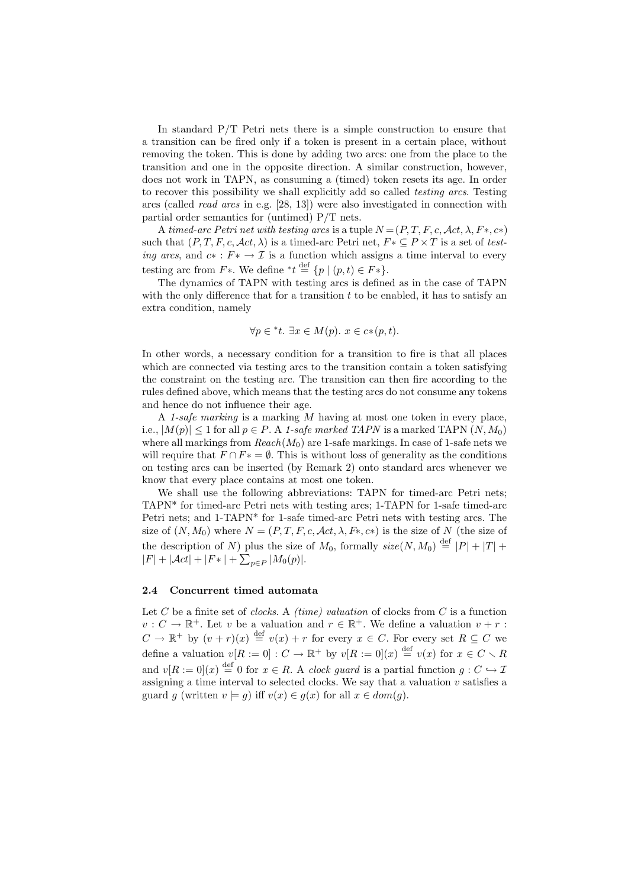In standard P/T Petri nets there is a simple construction to ensure that a transition can be fired only if a token is present in a certain place, without removing the token. This is done by adding two arcs: one from the place to the transition and one in the opposite direction. A similar construction, however, does not work in TAPN, as consuming a (timed) token resets its age. In order to recover this possibility we shall explicitly add so called testing arcs. Testing arcs (called read arcs in e.g. [28, 13]) were also investigated in connection with partial order semantics for (untimed) P/T nets.

A timed-arc Petri net with testing arcs is a tuple  $N = (P, T, F, c, \mathcal{A}ct, \lambda, F*, c*)$ such that  $(P, T, F, c, \mathcal{A}ct, \lambda)$  is a timed-arc Petri net,  $F \in P \times T$  is a set of testing arcs, and  $c \ast : F \ast \to \mathcal{I}$  is a function which assigns a time interval to every testing arc from  $F^*$ . We define \* $t \stackrel{\text{def}}{=} \{p \mid (p, t) \in F^*\}.$ 

The dynamics of TAPN with testing arcs is defined as in the case of TAPN with the only difference that for a transition  $t$  to be enabled, it has to satisfy an extra condition, namely

$$
\forall p \in {}^*t. \; \exists x \in M(p). \; x \in c*(p, t).
$$

In other words, a necessary condition for a transition to fire is that all places which are connected via testing arcs to the transition contain a token satisfying the constraint on the testing arc. The transition can then fire according to the rules defined above, which means that the testing arcs do not consume any tokens and hence do not influence their age.

A 1-safe marking is a marking M having at most one token in every place, i.e.,  $|M(p)| \leq 1$  for all  $p \in P$ . A 1-safe marked TAPN is a marked TAPN  $(N, M_0)$ where all markings from  $Reach(M_0)$  are 1-safe markings. In case of 1-safe nets we will require that  $F \cap F^* = \emptyset$ . This is without loss of generality as the conditions on testing arcs can be inserted (by Remark 2) onto standard arcs whenever we know that every place contains at most one token.

We shall use the following abbreviations: TAPN for timed-arc Petri nets; TAPN\* for timed-arc Petri nets with testing arcs; 1-TAPN for 1-safe timed-arc Petri nets; and 1-TAPN\* for 1-safe timed-arc Petri nets with testing arcs. The size of  $(N, M_0)$  where  $N = (P, T, F, c, \mathcal{A}ct, \lambda, F^*, c^*)$  is the size of N (the size of the description of N) plus the size of  $M_0$ , formally  $size(N, M_0) \stackrel{\text{def}}{=} |P| + |T| +$  $|F| + |\mathcal{A}ct| + |F*| + \sum_{p \in P} |M_0(p)|.$ 

#### 2.4 Concurrent timed automata

Let C be a finite set of *clocks*. A *(time) valuation* of clocks from C is a function  $v: C \to \mathbb{R}^+$ . Let v be a valuation and  $r \in \mathbb{R}^+$ . We define a valuation  $v + r$ :  $C \to \mathbb{R}^+$  by  $(v+r)(x) \stackrel{\text{def}}{=} v(x) + r$  for every  $x \in C$ . For every set  $R \subseteq C$  we define a valuation  $v[R := 0] : C \to \mathbb{R}^+$  by  $v[R := 0](x) \stackrel{\text{def}}{=} v(x)$  for  $x \in C \setminus R$ and  $v[R := 0](x) \stackrel{\text{def}}{=} 0$  for  $x \in R$ . A *clock guard* is a partial function  $g: C \hookrightarrow \mathcal{I}$ assigning a time interval to selected clocks. We say that a valuation  $v$  satisfies a guard q (written  $v \models q$ ) iff  $v(x) \in q(x)$  for all  $x \in dom(q)$ .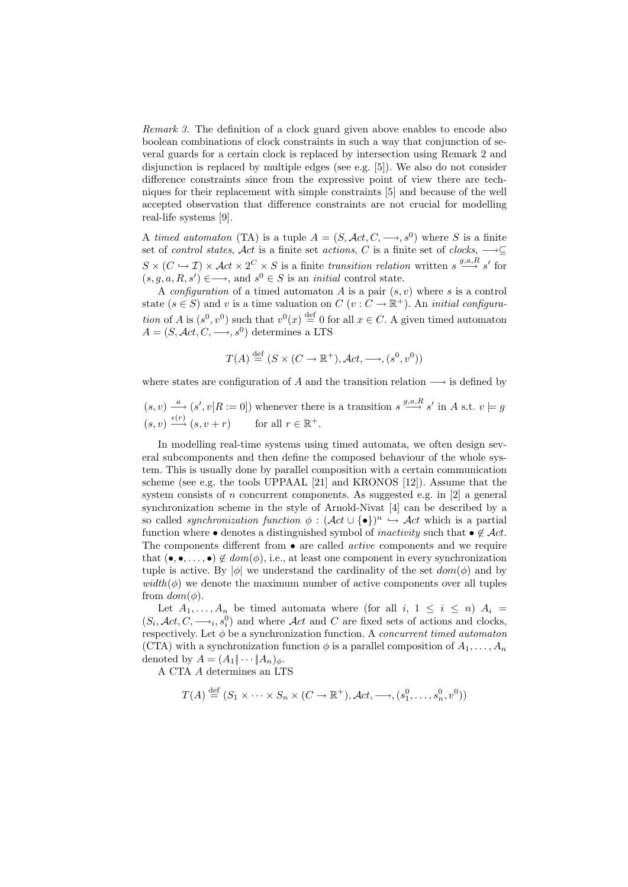Remark 3. The definition of a clock guard given above enables to encode also boolean combinations of clock constraints in such a way that conjunction of several guards for a certain clock is replaced by intersection using Remark 2 and disjunction is replaced by multiple edges (see e.g. [5]). We also do not consider difference constraints since from the expressive point of view there are techniques for their replacement with simple constraints [5] and because of the well accepted observation that difference constraints are not crucial for modelling real-life systems [9].

A timed automaton (TA) is a tuple  $A = (S, \mathcal{A}ct, C, \longrightarrow, s^0)$  where S is a finite set of *control states,*  $\mathcal{A}ct$  is a finite set *actions, C* is a finite set of *clocks*,  $\longrightarrow \subseteq$  $S \times (C \hookrightarrow I) \times \mathcal{A}ct \times 2^C \times S$  is a finite transition relation written  $s \stackrel{g,a,R}{\longrightarrow} s'$  for  $(s, g, a, R, s') \in \longrightarrow$ , and  $s^0 \in S$  is an *initial* control state.

A configuration of a timed automaton  $A$  is a pair  $(s, v)$  where  $s$  is a control state  $(s \in S)$  and v is a time valuation on  $C(v : C \to \mathbb{R}^+)$ . An *initial configura*tion of A is  $(s^0, v^0)$  such that  $v^0(x) \stackrel{\text{def}}{=} 0$  for all  $x \in C$ . A given timed automaton  $A = (S, \mathcal{A}ct, C, \longrightarrow, s^0)$  determines a LTS

$$
T(A) \stackrel{\text{def}}{=} (S \times (C \to \mathbb{R}^+), \mathcal{A}ct, \longrightarrow, (s^0, v^0))
$$

where states are configuration of A and the transition relation  $\longrightarrow$  is defined by

 $(s, v) \stackrel{a}{\longrightarrow} (s', v[R := 0])$  whenever there is a transition  $s \stackrel{g,a,R}{\longrightarrow} s'$  in A s.t.  $v \models g$  $(s, v) \xrightarrow{\epsilon(r)} (s, v + r)$  for all  $r \in \mathbb{R}^+$ .

In modelling real-time systems using timed automata, we often design several subcomponents and then define the composed behaviour of the whole system. This is usually done by parallel composition with a certain communication scheme (see e.g. the tools UPPAAL [21] and KRONOS [12]). Assume that the system consists of n concurrent components. As suggested e.g. in [2] a general synchronization scheme in the style of Arnold-Nivat [4] can be described by a so called *synchronization function*  $\phi : (\mathcal{A}ct \cup {\{\bullet\}})^n \hookrightarrow \mathcal{A}ct$  which is a partial function where • denotes a distinguished symbol of *inactivity* such that •  $\notin \mathcal{A}ct$ . The components different from  $\bullet$  are called *active* components and we require that  $(\bullet, \bullet, \ldots, \bullet) \notin dom(\phi)$ , i.e., at least one component in every synchronization tuple is active. By  $|\phi|$  we understand the cardinality of the set  $dom(\phi)$  and by  $width(\phi)$  we denote the maximum number of active components over all tuples from  $dom(\phi)$ .

Let  $A_1, \ldots, A_n$  be timed automata where (for all i,  $1 \leq i \leq n$ )  $A_i =$  $(S_i, \mathcal{A}ct, C, \longrightarrow_i, s_i^0)$  and where  $\mathcal{A}ct$  and C are fixed sets of actions and clocks, respectively. Let  $\phi$  be a synchronization function. A *concurrent timed automaton* (CTA) with a synchronization function  $\phi$  is a parallel composition of  $A_1, \ldots, A_n$ denoted by  $A = (A_1 \| \cdots \| A_n)_\phi$ .

A CTA A determines an LTS

$$
T(A) \stackrel{\text{def}}{=} (S_1 \times \cdots \times S_n \times (C \to \mathbb{R}^+), \mathcal{A}ct, \longrightarrow, (s_1^0, \ldots, s_n^0, v^0))
$$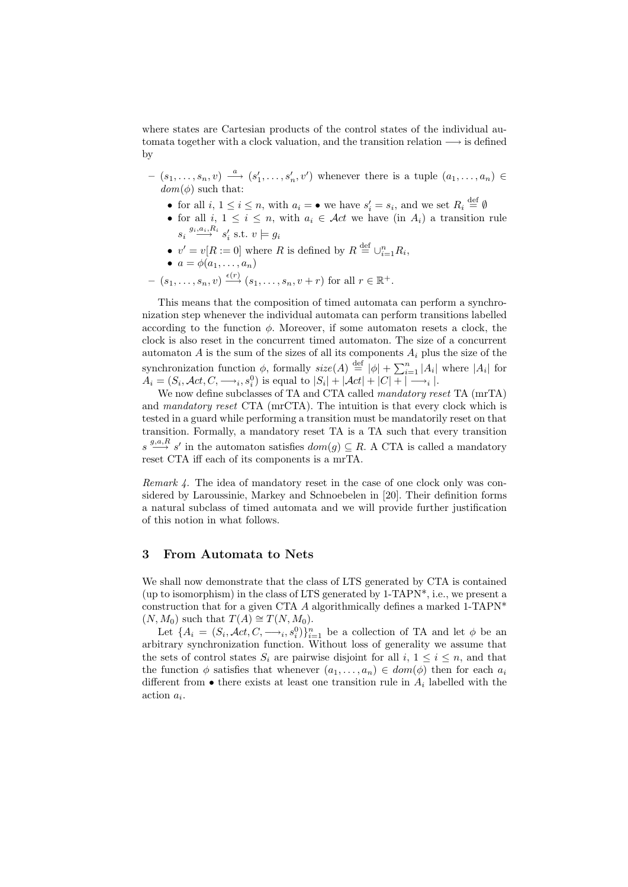where states are Cartesian products of the control states of the individual automata together with a clock valuation, and the transition relation  $\longrightarrow$  is defined by

- $(s_1, \ldots, s_n, v) \stackrel{a}{\longrightarrow} (s'_1, \ldots, s'_n, v')$  whenever there is a tuple  $(a_1, \ldots, a_n) \in$  $dom(\phi)$  such that:
	- for all  $i, 1 \leq i \leq n$ , with  $a_i = \bullet$  we have  $s'_i = s_i$ , and we set  $R_i \stackrel{\text{def}}{=} \emptyset$
	- for all i,  $1 \leq i \leq n$ , with  $a_i \in \mathcal{A}ct$  we have (in  $A_i$ ) a transition rule  $s_i \stackrel{g_i, a_i, R_i}{\longrightarrow} s'_i$  s.t.  $v \models g_i$
	- $v' = v[R := 0]$  where R is defined by  $R \stackrel{\text{def}}{=} \bigcup_{i=1}^{n} R_i$ ,

$$
\bullet \ \ a = \phi(a_1, \ldots, a_n)
$$

 $(s_1, \ldots, s_n, v) \xrightarrow{\epsilon(r)} (s_1, \ldots, s_n, v+r)$  for all  $r \in \mathbb{R}^+$ .

This means that the composition of timed automata can perform a synchronization step whenever the individual automata can perform transitions labelled according to the function  $\phi$ . Moreover, if some automaton resets a clock, the clock is also reset in the concurrent timed automaton. The size of a concurrent automaton  $A$  is the sum of the sizes of all its components  $A_i$  plus the size of the synchronization function  $\phi$ , formally  $size(A) \stackrel{\text{def}}{=} |\phi| + \sum_{i=1}^{n} |A_i|$  where  $|A_i|$  for  $A_i = (S_i, \mathcal{A}ct, C, \longrightarrow_i, s_i^0)$  is equal to  $|S_i| + |\mathcal{A}ct| + |C| + \sim_i |$ .

We now define subclasses of TA and CTA called mandatory reset TA (mrTA) and mandatory reset CTA (mrCTA). The intuition is that every clock which is tested in a guard while performing a transition must be mandatorily reset on that transition. Formally, a mandatory reset TA is a TA such that every transition  $s \stackrel{g,a,R}{\longrightarrow} s'$  in the automaton satisfies  $dom(g) \subseteq R$ . A CTA is called a mandatory reset CTA iff each of its components is a mrTA.

Remark 4. The idea of mandatory reset in the case of one clock only was considered by Laroussinie, Markey and Schnoebelen in [20]. Their definition forms a natural subclass of timed automata and we will provide further justification of this notion in what follows.

## 3 From Automata to Nets

We shall now demonstrate that the class of LTS generated by CTA is contained (up to isomorphism) in the class of LTS generated by 1-TAPN\*, i.e., we present a construction that for a given CTA A algorithmically defines a marked 1-TAPN<sup>\*</sup>  $(N, M_0)$  such that  $T(A) \cong T(N, M_0)$ .

Let  $\{A_i = (S_i, \mathcal{A}ct, C, \longrightarrow_i, s_i^0)\}_{i=1}^n$  be a collection of TA and let  $\phi$  be an arbitrary synchronization function. Without loss of generality we assume that the sets of control states  $S_i$  are pairwise disjoint for all  $i, 1 \leq i \leq n$ , and that the function  $\phi$  satisfies that whenever  $(a_1, \ldots, a_n) \in dom(\phi)$  then for each  $a_i$ different from  $\bullet$  there exists at least one transition rule in  $A_i$  labelled with the  $\arcsin a_i$ .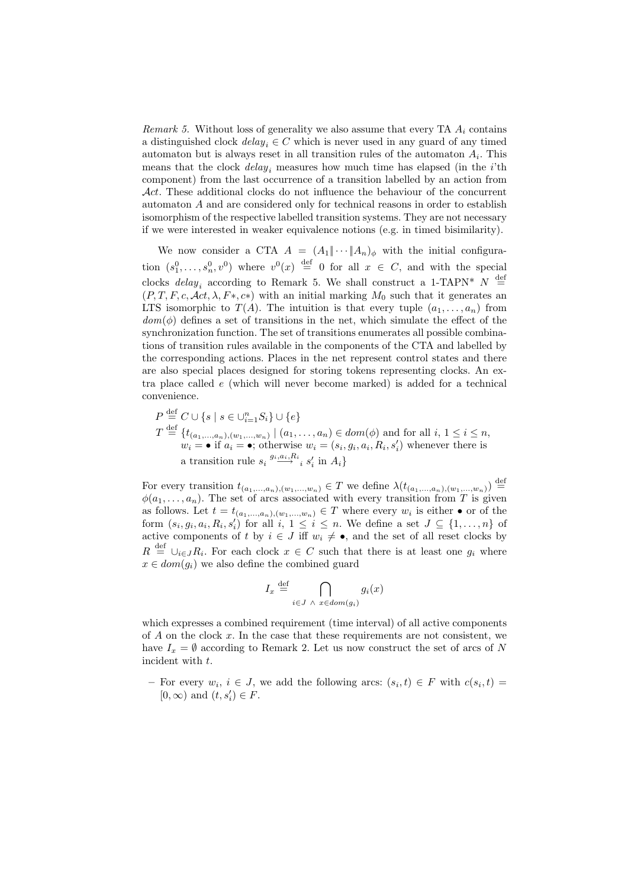*Remark 5.* Without loss of generality we also assume that every TA  $A_i$  contains a distinguished clock  $delay_i \in C$  which is never used in any guard of any timed automaton but is always reset in all transition rules of the automaton  $A_i$ . This means that the clock  $delay_i$  measures how much time has elapsed (in the *i*'th component) from the last occurrence of a transition labelled by an action from Act. These additional clocks do not influence the behaviour of the concurrent automaton A and are considered only for technical reasons in order to establish isomorphism of the respective labelled transition systems. They are not necessary if we were interested in weaker equivalence notions (e.g. in timed bisimilarity).

We now consider a CTA  $A = (A_1 \| \cdots \| A_n)_{\phi}$  with the initial configuration  $(s_1^0, \ldots, s_n^0, v^0)$  where  $v^0(x) \stackrel{\text{def}}{=} 0$  for all  $x \in C$ , and with the special clocks  $delay_i$  according to Remark 5. We shall construct a 1-TAPN\*  $N \stackrel{\text{def}}{=}$  $(P, T, F, c, \mathcal{A}ct, \lambda, F*, c*)$  with an initial marking  $M_0$  such that it generates an LTS isomorphic to  $T(A)$ . The intuition is that every tuple  $(a_1, \ldots, a_n)$  from  $dom(\phi)$  defines a set of transitions in the net, which simulate the effect of the synchronization function. The set of transitions enumerates all possible combinations of transition rules available in the components of the CTA and labelled by the corresponding actions. Places in the net represent control states and there are also special places designed for storing tokens representing clocks. An extra place called e (which will never become marked) is added for a technical convenience.

$$
P \stackrel{\text{def}}{=} C \cup \{s \mid s \in \bigcup_{i=1}^{n} S_i\} \cup \{e\}
$$
  

$$
T \stackrel{\text{def}}{=} \{t_{(a_1, \ldots, a_n), (w_1, \ldots, w_n)} \mid (a_1, \ldots, a_n) \in dom(\phi) \text{ and for all } i, 1 \le i \le n,
$$
  

$$
w_i = \bullet \text{ if } a_i = \bullet; \text{ otherwise } w_i = (s_i, g_i, a_i, R_i, s'_i) \text{ whenever there is a transition rule } s_i \stackrel{g_i, a_i, R_i}{\longrightarrow} s'_i \text{ in } A_i\}
$$

For every transition  $t_{(a_1,...,a_n),(w_1,...,w_n)} \in T$  we define  $\lambda(t_{(a_1,...,a_n),(w_1,...,w_n)}) \stackrel{\text{def}}{=}$  $\phi(a_1, \ldots, a_n)$ . The set of arcs associated with every transition from T is given as follows. Let  $t = t_{(a_1,...,a_n),(w_1,...,w_n)} \in T$  where every  $w_i$  is either  $\bullet$  or of the form  $(s_i, g_i, a_i, R_i, s'_i)$  for all  $i, 1 \leq i \leq n$ . We define a set  $J \subseteq \{1, \ldots, n\}$  of active components of t by  $i \in J$  iff  $w_i \neq \bullet$ , and the set of all reset clocks by  $R \stackrel{\text{def}}{=} \bigcup_{i \in J} R_i$ . For each clock  $x \in C$  such that there is at least one  $g_i$  where  $x \in dom(q_i)$  we also define the combined guard

$$
I_x \stackrel{\text{def}}{=} \bigcap_{i \in J \ \land \ x \in dom(g_i)} g_i(x)
$$

which expresses a combined requirement (time interval) of all active components of  $A$  on the clock  $x$ . In the case that these requirements are not consistent, we have  $I_x = \emptyset$  according to Remark 2. Let us now construct the set of arcs of N incident with t.

- For every  $w_i, i \in J$ , we add the following arcs:  $(s_i, t) \in F$  with  $c(s_i, t)$  $[0, \infty)$  and  $(t, s'_i) \in F$ .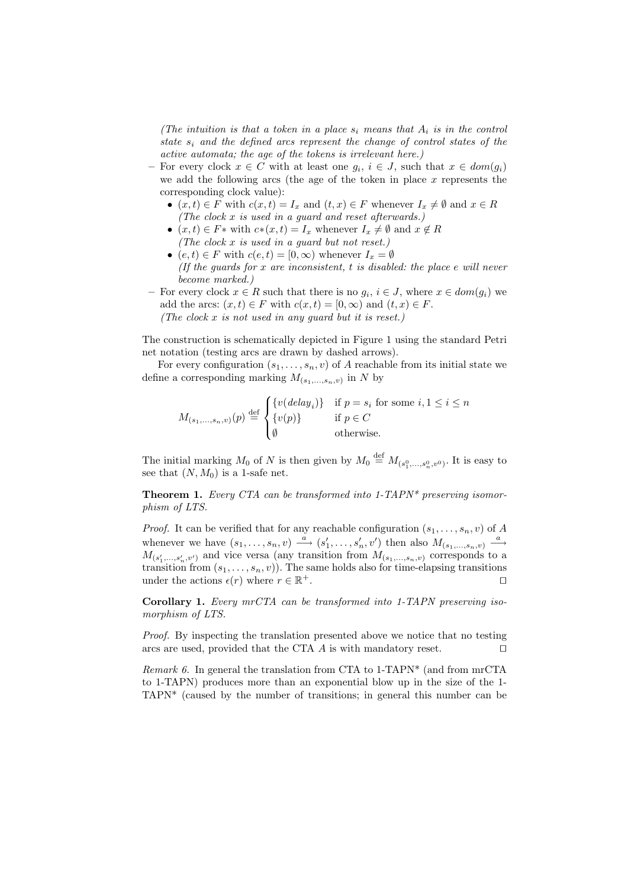(The intuition is that a token in a place  $s_i$  means that  $A_i$  is in the control state  $s_i$  and the defined arcs represent the change of control states of the active automata; the age of the tokens is irrelevant here.)

- For every clock  $x \in C$  with at least one  $g_i$ ,  $i \in J$ , such that  $x \in dom(g_i)$ we add the following arcs (the age of the token in place  $x$  represents the corresponding clock value):
	- $(x, t) \in F$  with  $c(x, t) = I_x$  and  $(t, x) \in F$  whenever  $I_x \neq \emptyset$  and  $x \in R$ (The clock x is used in a guard and reset afterwards.)
	- $(x, t) \in F^*$  with  $c*(x, t) = I_x$  whenever  $I_x \neq \emptyset$  and  $x \notin R$ (The clock x is used in a guard but not reset.)
	- $(e, t) \in F$  with  $c(e, t) = [0, \infty)$  whenever  $I_x = \emptyset$ (If the guards for  $x$  are inconsistent,  $t$  is disabled: the place  $e$  will never become marked.)
- − For every clock  $x \in R$  such that there is no  $g_i, i \in J$ , where  $x \in dom(g_i)$  we add the arcs:  $(x, t) \in F$  with  $c(x, t) = [0, \infty)$  and  $(t, x) \in F$ . (The clock  $x$  is not used in any quard but it is reset.)

The construction is schematically depicted in Figure 1 using the standard Petri net notation (testing arcs are drawn by dashed arrows).

For every configuration  $(s_1, \ldots, s_n, v)$  of A reachable from its initial state we define a corresponding marking  $M_{(s_1,...,s_n,v)}$  in N by

$$
M_{(s_1,\ldots,s_n,v)}(p) \stackrel{\text{def}}{=} \begin{cases} \{v(\text{delay}_i)\} & \text{if } p = s_i \text{ for some } i, 1 \le i \le n \\ \{v(p)\} & \text{if } p \in C \\ \emptyset & \text{otherwise.} \end{cases}
$$

The initial marking  $M_0$  of N is then given by  $M_0 \stackrel{\text{def}}{=} M_{(s_1^0,\ldots,s_n^0,v^0)}$ . It is easy to see that  $(N, M_0)$  is a 1-safe net.

**Theorem 1.** Every CTA can be transformed into  $1$ -TAPN\* preserving isomorphism of LTS.

*Proof.* It can be verified that for any reachable configuration  $(s_1, \ldots, s_n, v)$  of A whenever we have  $(s_1, \ldots, s_n, v) \stackrel{a}{\longrightarrow} (s'_1, \ldots, s'_n, v')$  then also  $M_{(s_1, \ldots, s_n, v)} \stackrel{a}{\longrightarrow}$  $M_{(s'_1,...,s'_n,v')}$  and vice versa (any transition from  $M_{(s_1,...,s_n,v)}$  corresponds to a transition from  $(s_1, \ldots, s_n, v)$ . The same holds also for time-elapsing transitions under the actions  $\epsilon(r)$  where  $r \in \mathbb{R}^+$ .  $+$ .

Corollary 1. Every mrCTA can be transformed into 1-TAPN preserving isomorphism of LTS.

Proof. By inspecting the translation presented above we notice that no testing arcs are used, provided that the CTA  $\vec{A}$  is with mandatory reset.  $\Box$ 

Remark 6. In general the translation from CTA to  $1$ -TAPN<sup>\*</sup> (and from mrCTA to 1-TAPN) produces more than an exponential blow up in the size of the 1- TAPN\* (caused by the number of transitions; in general this number can be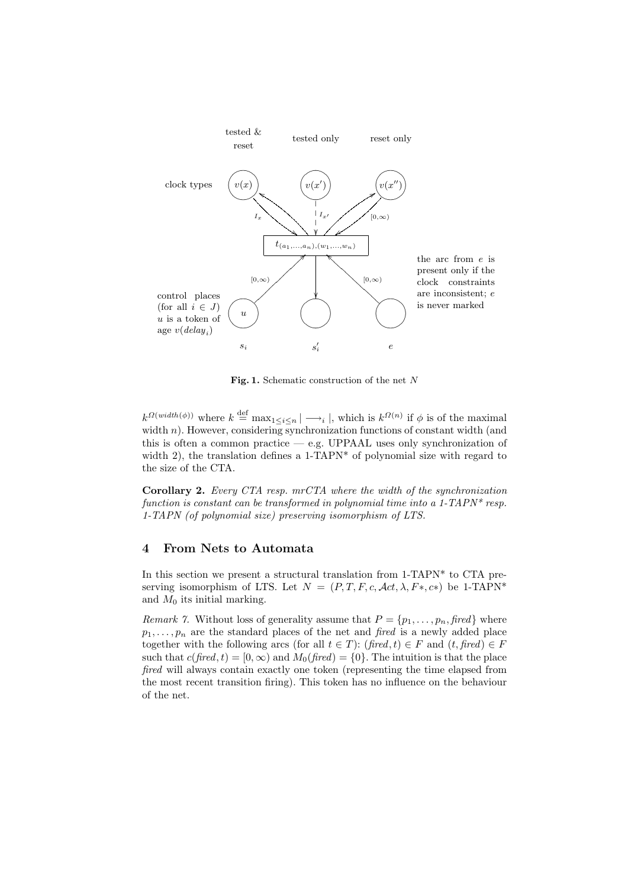

Fig. 1. Schematic construction of the net  $N$ 

 $k^{\Omega(width(\phi))}$  where  $k \stackrel{\text{def}}{=} \max_{1 \leq i \leq n} |\longrightarrow_i|$ , which is  $k^{\Omega(n)}$  if  $\phi$  is of the maximal width n). However, considering synchronization functions of constant width (and this is often a common practice — e.g. UPPAAL uses only synchronization of width 2), the translation defines a 1-TAPN<sup>\*</sup> of polynomial size with regard to the size of the CTA.

Corollary 2. Every CTA resp. mrCTA where the width of the synchronization function is constant can be transformed in polynomial time into a 1-TAPN\* resp. 1-TAPN (of polynomial size) preserving isomorphism of LTS.

# 4 From Nets to Automata

In this section we present a structural translation from 1-TAPN\* to CTA preserving isomorphism of LTS. Let  $N = (P, T, F, c, \mathcal{A}ct, \lambda, F*, c*)$  be 1-TAPN<sup>\*</sup> and  $M_0$  its initial marking.

Remark 7. Without loss of generality assume that  $P = \{p_1, \ldots, p_n, \text{fixed}\}\$  where  $p_1, \ldots, p_n$  are the standard places of the net and fired is a newly added place together with the following arcs (for all  $t \in T$ ): (fired, t)  $\in F$  and  $(t, \text{fired}) \in F$ such that  $c(fired, t) = [0, \infty)$  and  $M_0(fired) = \{0\}$ . The intuition is that the place fired will always contain exactly one token (representing the time elapsed from the most recent transition firing). This token has no influence on the behaviour of the net.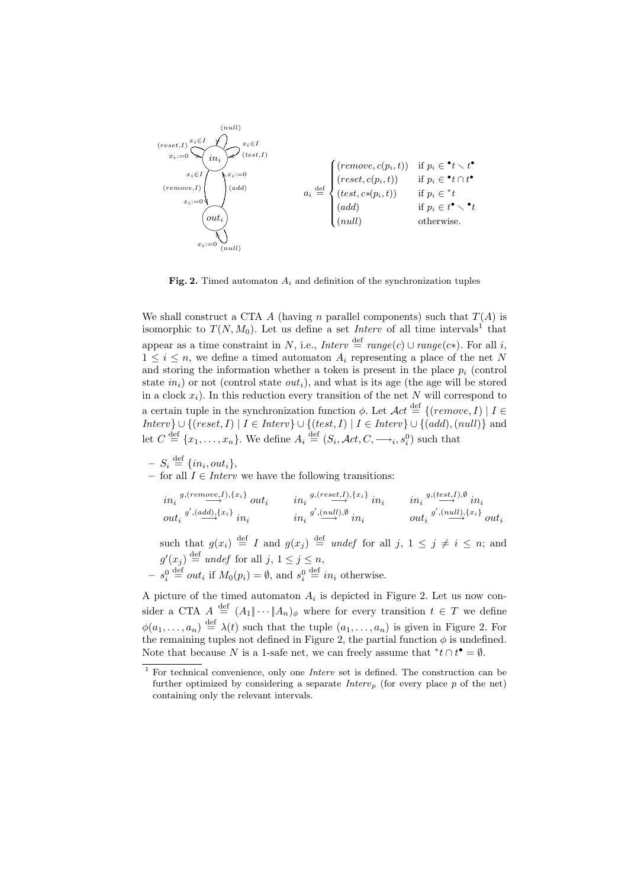

Fig. 2. Timed automaton  $A_i$  and definition of the synchronization tuples

We shall construct a CTA A (having n parallel components) such that  $T(A)$  is isomorphic to  $T(N, M_0)$ . Let us define a set *Interv* of all time intervals<sup>1</sup> that appear as a time constraint in N, i.e., Interv  $\stackrel{\text{def}}{=} range(c) \cup range(c*)$ . For all i,  $1 \leq i \leq n$ , we define a timed automaton  $A_i$  representing a place of the net N and storing the information whether a token is present in the place  $p_i$  (control state  $in_i$ ) or not (control state  $out_i$ ), and what is its age (the age will be stored in a clock  $x_i$ ). In this reduction every transition of the net N will correspond to a certain tuple in the synchronization function  $\phi$ . Let  $\mathcal{A}ct \stackrel{\text{def}}{=} \{(remove, I) | I \in$  $Interv\} \cup \{(reset, I) | I \in \text{Interv} \} \cup \{(test, I) | I \in \text{Interv} \} \cup \{(add), (null)\}$  and let  $C \stackrel{\text{def}}{=} \{x_1, \ldots, x_n\}$ . We define  $A_i \stackrel{\text{def}}{=} (S_i, \mathcal{A}ct, C, \longrightarrow_i, s_i^0)$  such that

$$
- S_i \stackrel{\text{def}}{=} \{in_i, out_i\},
$$

– for all  $I \in$  *Interv* we have the following transitions:

$$
\begin{array}{llll}\n & in_i \xrightarrow{g, (remove, I), \{x_i\}} out_i & in_i \xrightarrow{g, (reset, I), \{x_i\}} in_i & in_i \xrightarrow{g, (test, I), \emptyset} in_i \\
 & out_i \xrightarrow{g', (add), \{x_i\}} in_i & in_i \xrightarrow{g', (null), \emptyset} in_i & out_i \xrightarrow{g', (null), \{x_i\}} out_i\n\end{array}
$$

such that  $g(x_i) \stackrel{\text{def}}{=} I$  and  $g(x_j) \stackrel{\text{def}}{=} u$  *ndef* for all  $j, 1 \leq j \neq i \leq n$ ; and  $g'(x_j) \stackrel{\text{def}}{=}$  undef for all  $j, 1 \leq j \leq n$ ,  $-s_i^0 \stackrel{\text{def}}{=} out_i \text{ if } M_0(p_i) = \emptyset, \text{ and } s_i^0 \stackrel{\text{def}}{=} in_i \text{ otherwise.}$ 

A picture of the timed automaton  $A_i$  is depicted in Figure 2. Let us now consider a CTA  $A \stackrel{\text{def}}{=} (A_1 \| \cdots \| A_n)_{\phi}$  where for every transition  $t \in T$  we define  $\phi(a_1,\ldots,a_n) \stackrel{\text{def}}{=} \lambda(t)$  such that the tuple  $(a_1,\ldots,a_n)$  is given in Figure 2. For the remaining tuples not defined in Figure 2, the partial function  $\phi$  is undefined. Note that because N is a 1-safe net, we can freely assume that  ${}^*t \cap t^{\bullet} = \emptyset$ .

 $1$  For technical convenience, only one *Interv* set is defined. The construction can be further optimized by considering a separate  $Interv_p$  (for every place p of the net) containing only the relevant intervals.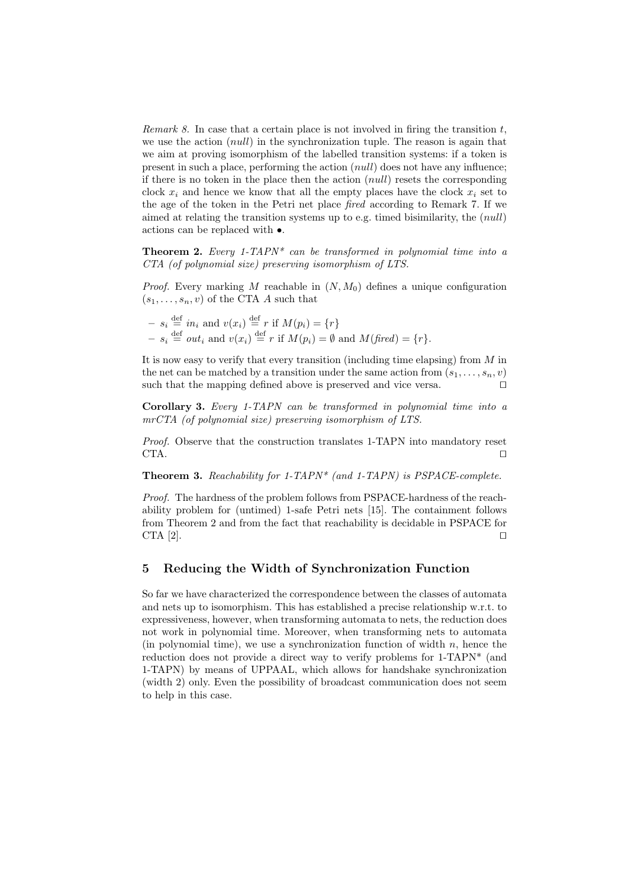Remark 8. In case that a certain place is not involved in firing the transition  $t$ , we use the action (*null*) in the synchronization tuple. The reason is again that we aim at proving isomorphism of the labelled transition systems: if a token is present in such a place, performing the action (null) does not have any influence; if there is no token in the place then the action  $(null)$  resets the corresponding clock  $x_i$  and hence we know that all the empty places have the clock  $x_i$  set to the age of the token in the Petri net place fired according to Remark 7. If we aimed at relating the transition systems up to e.g. timed bisimilarity, the (null) actions can be replaced with •.

**Theorem 2.** Every 1-TAPN\* can be transformed in polynomial time into a CTA (of polynomial size) preserving isomorphism of LTS.

*Proof.* Every marking M reachable in  $(N, M_0)$  defines a unique configuration  $(s_1, \ldots, s_n, v)$  of the CTA A such that

$$
- s_i \stackrel{\text{def}}{=} in_i \text{ and } v(x_i) \stackrel{\text{def}}{=} r \text{ if } M(p_i) = \{r\}
$$
  

$$
- s_i \stackrel{\text{def}}{=} out_i \text{ and } v(x_i) \stackrel{\text{def}}{=} r \text{ if } M(p_i) = \emptyset \text{ and } M(\text{fired}) = \{r\}.
$$

It is now easy to verify that every transition (including time elapsing) from M in the net can be matched by a transition under the same action from  $(s_1, \ldots, s_n, v)$ such that the mapping defined above is preserved and vice versa.  $\Box$ 

Corollary 3. Every 1-TAPN can be transformed in polynomial time into a mrCTA (of polynomial size) preserving isomorphism of LTS.

Proof. Observe that the construction translates 1-TAPN into mandatory reset  $CTA.$ 

**Theorem 3.** Reachability for 1-TAPN\* (and 1-TAPN) is PSPACE-complete.

Proof. The hardness of the problem follows from PSPACE-hardness of the reachability problem for (untimed) 1-safe Petri nets [15]. The containment follows from Theorem 2 and from the fact that reachability is decidable in PSPACE for CTA  $[2]$ .

## 5 Reducing the Width of Synchronization Function

So far we have characterized the correspondence between the classes of automata and nets up to isomorphism. This has established a precise relationship w.r.t. to expressiveness, however, when transforming automata to nets, the reduction does not work in polynomial time. Moreover, when transforming nets to automata (in polynomial time), we use a synchronization function of width  $n$ , hence the reduction does not provide a direct way to verify problems for 1-TAPN\* (and 1-TAPN) by means of UPPAAL, which allows for handshake synchronization (width 2) only. Even the possibility of broadcast communication does not seem to help in this case.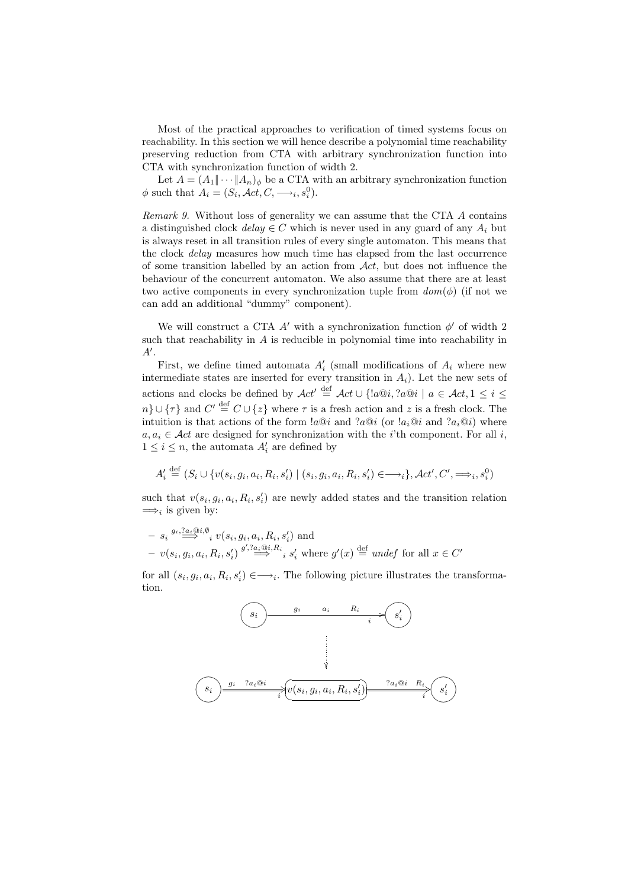Most of the practical approaches to verification of timed systems focus on reachability. In this section we will hence describe a polynomial time reachability preserving reduction from CTA with arbitrary synchronization function into CTA with synchronization function of width 2.

Let  $A = (A_1 \| \cdots \| A_n)_\phi$  be a CTA with an arbitrary synchronization function  $\phi$  such that  $A_i = (S_i, \mathcal{A}ct, C, \longrightarrow_i, s_i^0)$ .

Remark 9. Without loss of generality we can assume that the CTA A contains a distinguished clock  $delay \in C$  which is never used in any guard of any  $A_i$  but is always reset in all transition rules of every single automaton. This means that the clock delay measures how much time has elapsed from the last occurrence of some transition labelled by an action from  $\mathcal{A}ct$ , but does not influence the behaviour of the concurrent automaton. We also assume that there are at least two active components in every synchronization tuple from  $dom(\phi)$  (if not we can add an additional "dummy" component).

We will construct a CTA  $A'$  with a synchronization function  $\phi'$  of width 2 such that reachability in  $A$  is reducible in polynomial time into reachability in  $A^{\prime}$ .

First, we define timed automata  $A_i'$  (small modifications of  $A_i$  where new intermediate states are inserted for every transition in  $A_i$ ). Let the new sets of actions and clocks be defined by  $Act' \stackrel{\text{def}}{=} Act \cup \{laa@i, ?a@i \mid a \in Act, 1 \leq i \leq n\}$  $n\} \cup {\tau}$  and  $C' \stackrel{\text{def}}{=} C \cup {z}$  where  $\tau$  is a fresh action and z is a fresh clock. The intuition is that actions of the form  $a@i$  and  $a@i$  (or  $a_i@i$  and  $a_i@i$ ) where  $a, a_i \in \mathcal{A}ct$  are designed for synchronization with the *i*'th component. For all *i*,  $1 \leq i \leq n$ , the automata  $A'_i$  are defined by

$$
A'_i \stackrel{\text{def}}{=} (S_i \cup \{v(s_i, g_i, a_i, R_i, s'_i) \mid (s_i, g_i, a_i, R_i, s'_i) \in \longrightarrow_i\}, \mathcal{A}ct', C', \Longrightarrow_i, s_i^0)
$$

such that  $v(s_i, g_i, a_i, R_i, s'_i)$  are newly added states and the transition relation  $\Longrightarrow_i$  is given by:

$$
- s_i \stackrel{g_i, ?a_i \oplus i, \emptyset}{\Longrightarrow} i \upsilon(s_i, g_i, a_i, R_i, s'_i) \text{ and}
$$
  
- 
$$
\upsilon(s_i, g_i, a_i, R_i, s'_i) \stackrel{g', ?a_i \oplus i, R_i}{\Longrightarrow} s'_i \text{ where } g'(x) \stackrel{\text{def}}{=} under \text{ for all } x \in C'
$$

for all  $(s_i, g_i, a_i, R_i, s'_i) \in \longrightarrow_i$ . The following picture illustrates the transformation.

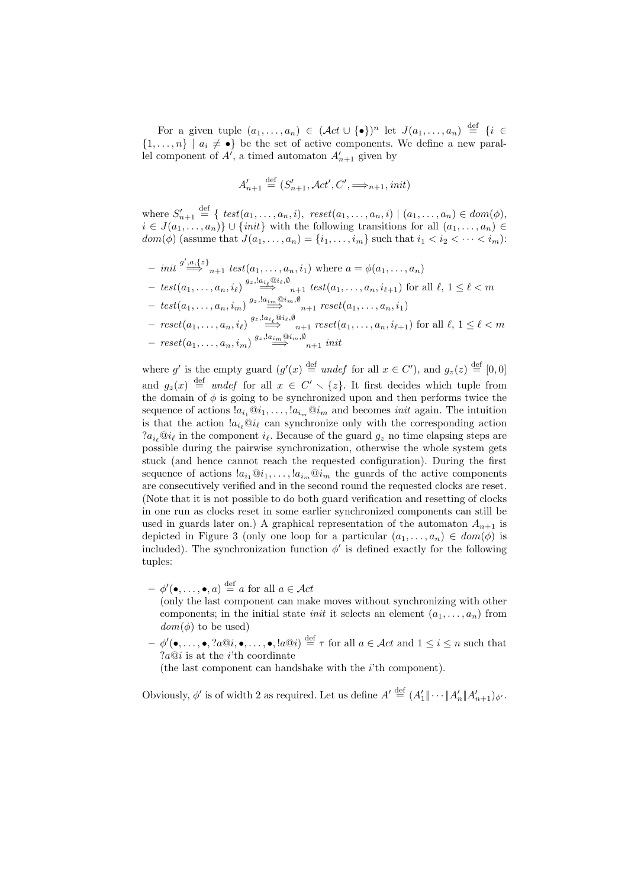For a given tuple  $(a_1, \ldots, a_n) \in (\mathcal{A}ct \cup {\{\bullet\}})^n$  let  $J(a_1, \ldots, a_n) \stackrel{\text{def}}{=} \{i \in \mathcal{A} \}$  $\{1,\ldots,n\}$  |  $a_i \neq \bullet\}$  be the set of active components. We define a new parallel component of  $A'$ , a timed automaton  $A'_{n+1}$  given by

$$
A'_{n+1} \stackrel{\text{def}}{=} (S'_{n+1}, \mathcal{A}ct', C', \Longrightarrow_{n+1}, init)
$$

where  $S'_{n+1} \stackrel{\text{def}}{=} \{ \text{ test}(a_1, \ldots, a_n, i), \text{ reset}(a_1, \ldots, a_n, i) \mid (a_1, \ldots, a_n) \in \text{dom}(\phi), \}$  $i \in J(a_1, \ldots, a_n)$   $\cup$  {*init*} with the following transitions for all  $(a_1, \ldots, a_n)$  $dom(\phi)$  (assume that  $J(a_1, \ldots, a_n) = \{i_1, \ldots, i_m\}$  such that  $i_1 < i_2 < \cdots < i_m$ ):

- $-$  init  $\stackrel{g',a,\{z\}}{\Longrightarrow}_{n+1} test(a_1,\ldots,a_n,i_1)$  where  $a = \phi(a_1,\ldots,a_n)$  $- \;\text{test}(a_1, \ldots, a_n, i_\ell) \stackrel{g_z, !a_{i_\ell} \oplus i_\ell, \emptyset}{\Longrightarrow} {}_{n+1} \;\text{test}(a_1, \ldots, a_n, i_{\ell+1}) \text{ for all } \ell, 1 \leq \ell < m$
- $\; test(a_1, \ldots, a_n, i_m) \stackrel{g_z, !a_{\underline{i_m}}@i_m, \emptyset}{\longrightarrow} _{n+1} \; reset(a_1, \ldots, a_n, i_1)$

- 
$$
reset(a_1, ..., a_n, i_\ell) \xrightarrow{g_z, \underbrace{\mathbf{a}_{i_\ell} \oplus i_\ell, \emptyset}_{n+1}} \underset{n+1}{reset(a_1, ..., a_n, i_{\ell+1})}
$$
 for all  $\ell, 1 \leq \ell < m$   
-  $reset(a_1, ..., a_n, i_m) \xrightarrow{g_z, \underbrace{\mathbf{a}_{i_m} \oplus i_m, \emptyset}_{n+1}} \underset{n+1}{init}$ 

where g' is the empty guard  $(g'(x) \stackrel{\text{def}}{=} under$  for all  $x \in C'$ ), and  $g_z(z) \stackrel{\text{def}}{=} [0,0]$ and  $g_z(x) \stackrel{\text{def}}{=} undef$  for all  $x \in C' \setminus \{z\}$ . It first decides which tuple from the domain of  $\phi$  is going to be synchronized upon and then performs twice the sequence of actions  $a_{i_1} \, a_{i_1}, \ldots, a_{i_m} \, a_{i_m}$  and becomes *init* again. The intuition is that the action  $a_{i_\ell} @i_\ell$  can synchronize only with the corresponding action  $a_{i_k}$   $\hat{a}_{i_\ell}$  in the component  $i_\ell$ . Because of the guard  $g_z$  no time elapsing steps are possible during the pairwise synchronization, otherwise the whole system gets stuck (and hence cannot reach the requested configuration). During the first sequence of actions  $a_{i_1} \mathbb{Q} i_1, \ldots, a_{i_m} \mathbb{Q} i_m$  the guards of the active components are consecutively verified and in the second round the requested clocks are reset. (Note that it is not possible to do both guard verification and resetting of clocks in one run as clocks reset in some earlier synchronized components can still be used in guards later on.) A graphical representation of the automaton  $A_{n+1}$  is depicted in Figure 3 (only one loop for a particular  $(a_1, \ldots, a_n) \in dom(\phi)$  is included). The synchronization function  $\phi'$  is defined exactly for the following tuples:

 $- \phi'(\bullet, \ldots, \bullet, a) \stackrel{\text{def}}{=} a \text{ for all } a \in \mathcal{A}ct$ 

(only the last component can make moves without synchronizing with other components; in the initial state *init* it selects an element  $(a_1, \ldots, a_n)$  from  $dom(\phi)$  to be used)

 $- \phi'(\bullet, \ldots, \bullet, \mathit{?a@i}, \bullet, \ldots, \bullet, \mathit{!a@i}) \stackrel{\text{def}}{=} \tau \text{ for all } a \in \mathcal{A}ct \text{ and } 1 \leq i \leq n \text{ such that }$  $?a@i$  is at the *i*'th coordinate

(the last component can handshake with the i'th component).

Obviously,  $\phi'$  is of width 2 as required. Let us define  $A' \stackrel{\text{def}}{=} (A'_1 \| \cdots \| A'_n \| A'_{n+1})_{\phi'}$ .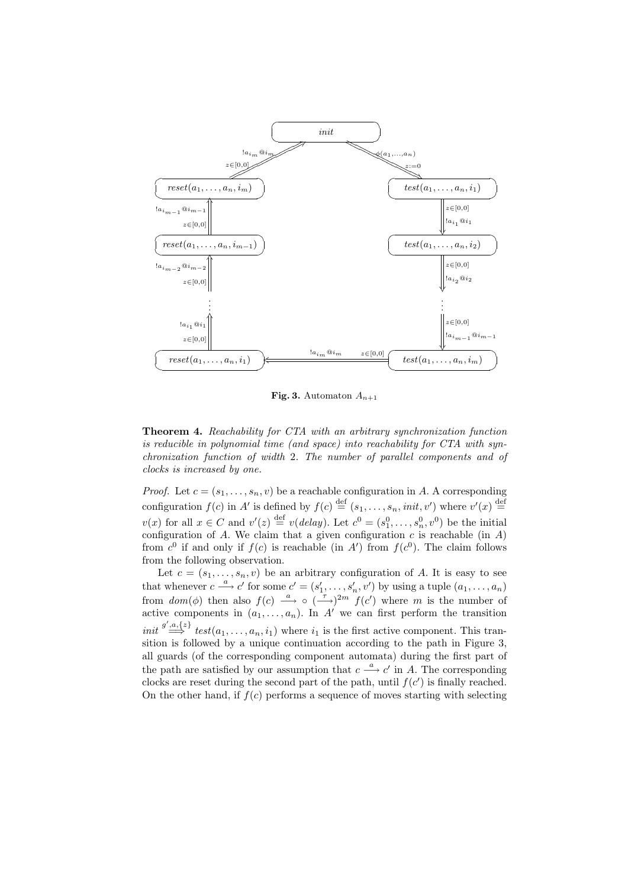

Fig. 3. Automaton  $A_{n+1}$ 

Theorem 4. Reachability for CTA with an arbitrary synchronization function is reducible in polynomial time (and space) into reachability for CTA with synchronization function of width 2. The number of parallel components and of clocks is increased by one.

*Proof.* Let  $c = (s_1, \ldots, s_n, v)$  be a reachable configuration in A. A corresponding configuration  $f(c)$  in A' is defined by  $f(c) \stackrel{\text{def}}{=} (s_1, \ldots, s_n, init, v')$  where  $v'(x) \stackrel{\text{def}}{=}$  $v(x)$  for all  $x \in C$  and  $v'(z) \stackrel{\text{def}}{=} v(delay)$ . Let  $c^0 = (s_1^0, \ldots, s_n^0, v^0)$  be the initial configuration of  $A$ . We claim that a given configuration  $c$  is reachable (in  $A$ ) from  $c^0$  if and only if  $f(c)$  is reachable (in A') from  $f(c^0)$ . The claim follows from the following observation.

Let  $c = (s_1, \ldots, s_n, v)$  be an arbitrary configuration of A. It is easy to see that whenever  $c \stackrel{a}{\longrightarrow} c'$  for some  $c' = (s'_1, \ldots, s'_n, v')$  by using a tuple  $(a_1, \ldots, a_n)$ from  $dom(\phi)$  then also  $f(c) \stackrel{a}{\longrightarrow} \circ \left(\frac{\tau}{\longrightarrow}\right)^{2m} f(c')$  where m is the number of active components in  $(a_1, \ldots, a_n)$ . In A' we can first perform the transition init  $\stackrel{g',a,\{z\}}{\Longrightarrow}$  test $(a_1,\ldots,a_n,i_1)$  where  $i_1$  is the first active component. This transition is followed by a unique continuation according to the path in Figure 3, all guards (of the corresponding component automata) during the first part of the path are satisfied by our assumption that  $c \stackrel{a}{\longrightarrow} c'$  in A. The corresponding clocks are reset during the second part of the path, until  $f(c')$  is finally reached. On the other hand, if  $f(c)$  performs a sequence of moves starting with selecting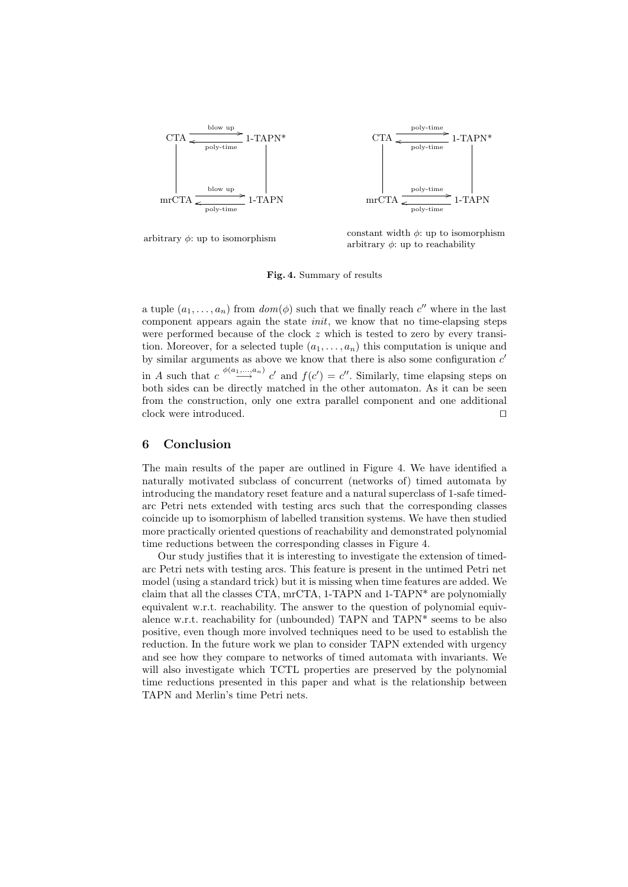

arbitrary  $\phi$ : up to isomorphism constant width  $\phi$ : up to isomorphism arbitrary  $\phi$ : up to reachability

#### Fig. 4. Summary of results

a tuple  $(a_1, \ldots, a_n)$  from  $dom(\phi)$  such that we finally reach  $c''$  where in the last component appears again the state init, we know that no time-elapsing steps were performed because of the clock  $z$  which is tested to zero by every transition. Moreover, for a selected tuple  $(a_1, \ldots, a_n)$  this computation is unique and by similar arguments as above we know that there is also some configuration  $c'$ in A such that  $c \stackrel{\phi(a_1,...,a_n)}{\longrightarrow} c'$  and  $f(c') = c''$ . Similarly, time elapsing steps on both sides can be directly matched in the other automaton. As it can be seen from the construction, only one extra parallel component and one additional clock were introduced.

## 6 Conclusion

The main results of the paper are outlined in Figure 4. We have identified a naturally motivated subclass of concurrent (networks of) timed automata by introducing the mandatory reset feature and a natural superclass of 1-safe timedarc Petri nets extended with testing arcs such that the corresponding classes coincide up to isomorphism of labelled transition systems. We have then studied more practically oriented questions of reachability and demonstrated polynomial time reductions between the corresponding classes in Figure 4.

Our study justifies that it is interesting to investigate the extension of timedarc Petri nets with testing arcs. This feature is present in the untimed Petri net model (using a standard trick) but it is missing when time features are added. We claim that all the classes CTA, mrCTA, 1-TAPN and 1-TAPN\* are polynomially equivalent w.r.t. reachability. The answer to the question of polynomial equivalence w.r.t. reachability for (unbounded) TAPN and TAPN\* seems to be also positive, even though more involved techniques need to be used to establish the reduction. In the future work we plan to consider TAPN extended with urgency and see how they compare to networks of timed automata with invariants. We will also investigate which TCTL properties are preserved by the polynomial time reductions presented in this paper and what is the relationship between TAPN and Merlin's time Petri nets.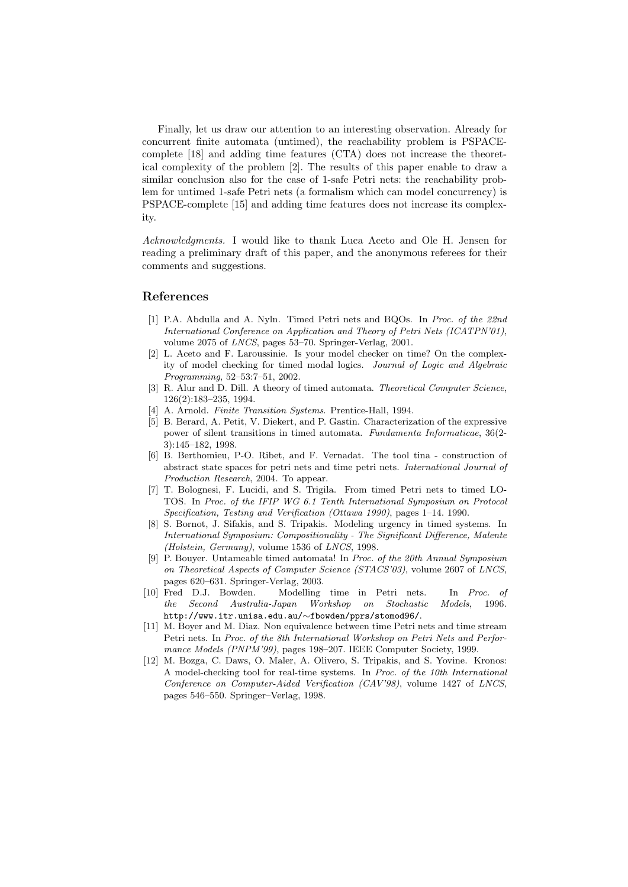Finally, let us draw our attention to an interesting observation. Already for concurrent finite automata (untimed), the reachability problem is PSPACEcomplete [18] and adding time features (CTA) does not increase the theoretical complexity of the problem [2]. The results of this paper enable to draw a similar conclusion also for the case of 1-safe Petri nets: the reachability problem for untimed 1-safe Petri nets (a formalism which can model concurrency) is PSPACE-complete [15] and adding time features does not increase its complexity.

Acknowledgments. I would like to thank Luca Aceto and Ole H. Jensen for reading a preliminary draft of this paper, and the anonymous referees for their comments and suggestions.

#### References

- [1] P.A. Abdulla and A. Nyln. Timed Petri nets and BQOs. In Proc. of the 22nd International Conference on Application and Theory of Petri Nets (ICATPN'01), volume 2075 of LNCS, pages 53–70. Springer-Verlag, 2001.
- [2] L. Aceto and F. Laroussinie. Is your model checker on time? On the complexity of model checking for timed modal logics. Journal of Logic and Algebraic Programming, 52–53:7–51, 2002.
- [3] R. Alur and D. Dill. A theory of timed automata. *Theoretical Computer Science*, 126(2):183–235, 1994.
- [4] A. Arnold. Finite Transition Systems. Prentice-Hall, 1994.
- [5] B. Berard, A. Petit, V. Diekert, and P. Gastin. Characterization of the expressive power of silent transitions in timed automata. Fundamenta Informaticae, 36(2- 3):145–182, 1998.
- [6] B. Berthomieu, P-O. Ribet, and F. Vernadat. The tool tina construction of abstract state spaces for petri nets and time petri nets. International Journal of Production Research, 2004. To appear.
- [7] T. Bolognesi, F. Lucidi, and S. Trigila. From timed Petri nets to timed LO-TOS. In Proc. of the IFIP WG 6.1 Tenth International Symposium on Protocol Specification, Testing and Verification (Ottawa 1990), pages 1–14. 1990.
- [8] S. Bornot, J. Sifakis, and S. Tripakis. Modeling urgency in timed systems. In International Symposium: Compositionality - The Significant Difference, Malente (Holstein, Germany), volume 1536 of LNCS, 1998.
- [9] P. Bouyer. Untameable timed automata! In Proc. of the 20th Annual Symposium on Theoretical Aspects of Computer Science (STACS'03), volume 2607 of LNCS, pages 620–631. Springer-Verlag, 2003.
- [10] Fred D.J. Bowden. Modelling time in Petri nets. In Proc. of the Second Australia-Japan Workshop on Stochastic Models, 1996. http://www.itr.unisa.edu.au/∼fbowden/pprs/stomod96/.
- [11] M. Boyer and M. Diaz. Non equivalence between time Petri nets and time stream Petri nets. In Proc. of the 8th International Workshop on Petri Nets and Performance Models (PNPM'99), pages 198–207. IEEE Computer Society, 1999.
- [12] M. Bozga, C. Daws, O. Maler, A. Olivero, S. Tripakis, and S. Yovine. Kronos: A model-checking tool for real-time systems. In Proc. of the 10th International Conference on Computer-Aided Verification (CAV'98), volume 1427 of LNCS, pages 546–550. Springer–Verlag, 1998.